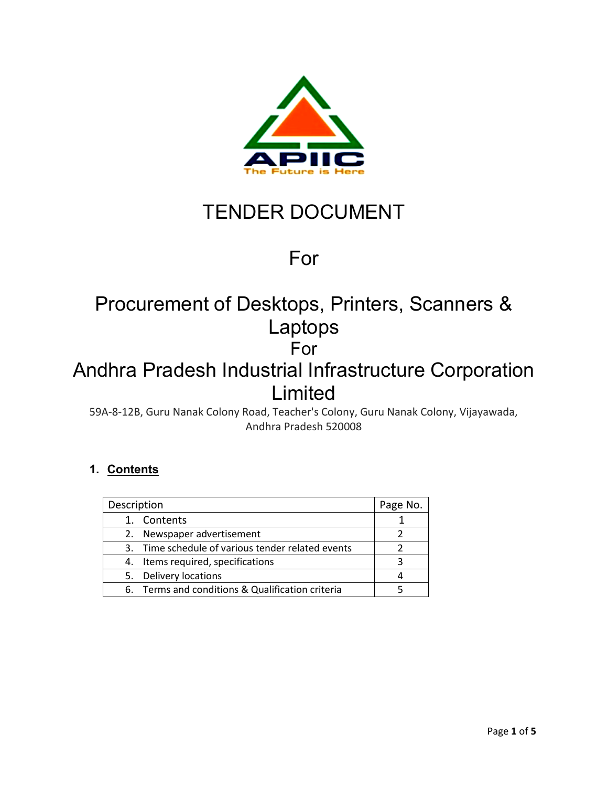

# TENDER DOCUMENT

## For

## Procurement of Desktops, Printers, Scanners & Laptops For Andhra Pradesh Industrial Infrastructure Corporation

## Limited

59A-8-12B, Guru Nanak Colony Road, Teacher's Colony, Guru Nanak Colony, Vijayawada, Andhra Pradesh 520008

### **1. Contents**

| Description                                       | Page No. |
|---------------------------------------------------|----------|
| 1. Contents                                       |          |
| 2. Newspaper advertisement                        |          |
| 3. Time schedule of various tender related events |          |
| 4. Items required, specifications                 |          |
| 5. Delivery locations                             |          |
| 6. Terms and conditions & Qualification criteria  |          |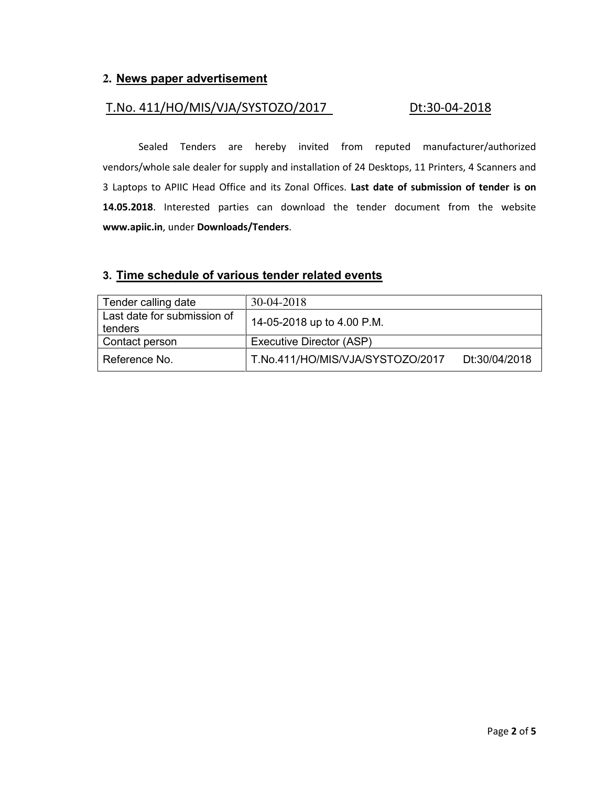#### **2. News paper advertisement**

#### T.No. 411/HO/MIS/VJA/SYSTOZO/2017 Dt:30-04-2018

 Sealed Tenders are hereby invited from reputed manufacturer/authorized vendors/whole sale dealer for supply and installation of 24 Desktops, 11 Printers, 4 Scanners and 3 Laptops to APIIC Head Office and its Zonal Offices. **Last date of submission of tender is on 14.05.2018**. Interested parties can download the tender document from the website **[www.apiic.in](http://www.apiic.in/)**, under **Downloads/Tenders**.

#### **3. Time schedule of various tender related events**

| Tender calling date                    | 30-04-2018                       |               |
|----------------------------------------|----------------------------------|---------------|
| Last date for submission of<br>tenders | 14-05-2018 up to 4.00 P.M.       |               |
| Contact person                         | Executive Director (ASP)         |               |
| Reference No.                          | T.No.411/HO/MIS/VJA/SYSTOZO/2017 | Dt:30/04/2018 |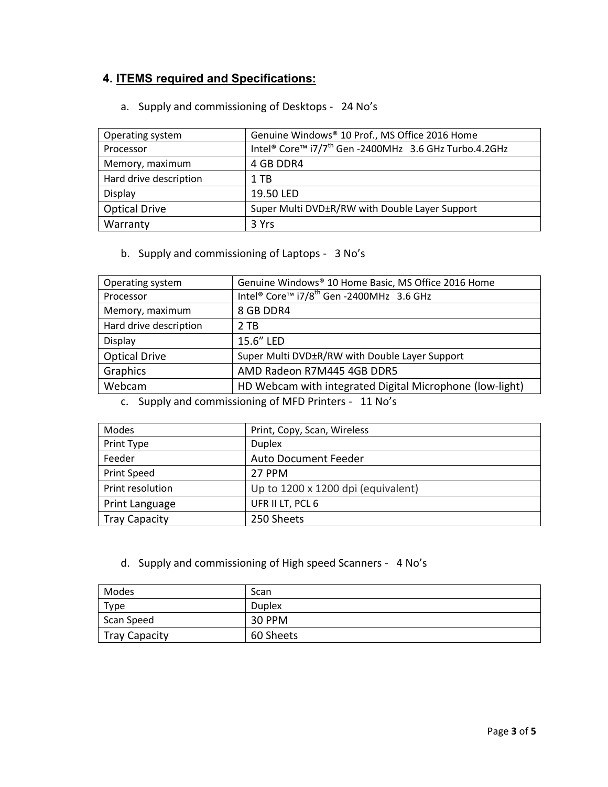### **4. ITEMS required and Specifications:**

|  |  | a. Supply and commissioning of Desktops - 24 No's |  |
|--|--|---------------------------------------------------|--|
|--|--|---------------------------------------------------|--|

| Operating system       | Genuine Windows® 10 Prof., MS Office 2016 Home                    |  |  |
|------------------------|-------------------------------------------------------------------|--|--|
| Processor              | Intel® Core™ i7/7 <sup>th</sup> Gen -2400MHz 3.6 GHz Turbo.4.2GHz |  |  |
| Memory, maximum        | 4 GB DDR4                                                         |  |  |
| Hard drive description | 1 TB                                                              |  |  |
| Display                | 19.50 LED                                                         |  |  |
| <b>Optical Drive</b>   | Super Multi DVD±R/RW with Double Layer Support                    |  |  |
| Warranty               | 3 Yrs                                                             |  |  |

b. Supply and commissioning of Laptops - 3 No's

| Operating system       | Genuine Windows® 10 Home Basic, MS Office 2016 Home      |
|------------------------|----------------------------------------------------------|
| Processor              | Intel® Core™ i7/8 <sup>th</sup> Gen -2400MHz 3.6 GHz     |
| Memory, maximum        | 8 GB DDR4                                                |
| Hard drive description | 2 TB                                                     |
| Display                | 15.6" LED                                                |
| <b>Optical Drive</b>   | Super Multi DVD±R/RW with Double Layer Support           |
| Graphics               | AMD Radeon R7M445 4GB DDR5                               |
| Webcam                 | HD Webcam with integrated Digital Microphone (low-light) |

c. Supply and commissioning of MFD Printers - 11 No's

| Modes                | Print, Copy, Scan, Wireless        |
|----------------------|------------------------------------|
| Print Type           | <b>Duplex</b>                      |
| Feeder               | <b>Auto Document Feeder</b>        |
| Print Speed          | 27 PPM                             |
| Print resolution     | Up to 1200 x 1200 dpi (equivalent) |
| Print Language       | UFR II LT, PCL 6                   |
| <b>Tray Capacity</b> | 250 Sheets                         |

d. Supply and commissioning of High speed Scanners - 4 No's

| Modes                | Scan          |
|----------------------|---------------|
| Type                 | <b>Duplex</b> |
| Scan Speed           | 30 PPM        |
| <b>Tray Capacity</b> | 60 Sheets     |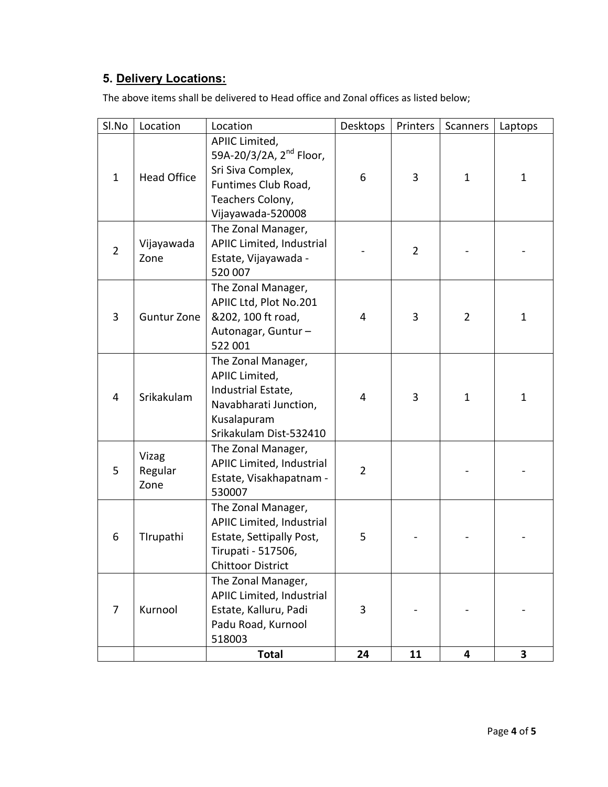### **5. Delivery Locations:**

The above items shall be delivered to Head office and Zonal offices as listed below;

| Sl.No          | Location                 | Location                                                                                                                                   | Desktops       | Printers       | Scanners       | Laptops      |
|----------------|--------------------------|--------------------------------------------------------------------------------------------------------------------------------------------|----------------|----------------|----------------|--------------|
| $\mathbf{1}$   | <b>Head Office</b>       | APIIC Limited,<br>59A-20/3/2A, 2 <sup>nd</sup> Floor,<br>Sri Siva Complex,<br>Funtimes Club Road,<br>Teachers Colony,<br>Vijayawada-520008 | 6              | 3              | $\mathbf{1}$   | $\mathbf{1}$ |
| $\overline{2}$ | Vijayawada<br>Zone       | The Zonal Manager,<br>APIIC Limited, Industrial<br>Estate, Vijayawada -<br>520 007                                                         |                | $\overline{2}$ |                |              |
| 3              | <b>Guntur Zone</b>       | The Zonal Manager,<br>APIIC Ltd, Plot No.201<br>&202, 100 ft road,<br>Autonagar, Guntur-<br>522 001                                        | 4              | 3              | $\overline{2}$ | $\mathbf{1}$ |
| 4              | Srikakulam               | The Zonal Manager,<br>APIIC Limited,<br>Industrial Estate,<br>Navabharati Junction,<br>Kusalapuram<br>Srikakulam Dist-532410               | 4              | 3              | $\mathbf{1}$   | 1            |
| 5              | Vizag<br>Regular<br>Zone | The Zonal Manager,<br>APIIC Limited, Industrial<br>Estate, Visakhapatnam -<br>530007                                                       | $\overline{2}$ |                |                |              |
| 6              | Tirupathi                | The Zonal Manager,<br>APIIC Limited, Industrial<br>Estate, Settipally Post,<br>Tirupati - 517506,<br><b>Chittoor District</b>              | 5              |                |                |              |
| $\overline{7}$ | Kurnool                  | The Zonal Manager,<br>APIIC Limited, Industrial<br>Estate, Kalluru, Padi<br>Padu Road, Kurnool<br>518003                                   | 3              |                |                |              |
|                |                          | <b>Total</b>                                                                                                                               | 24             | 11             | 4              | 3            |